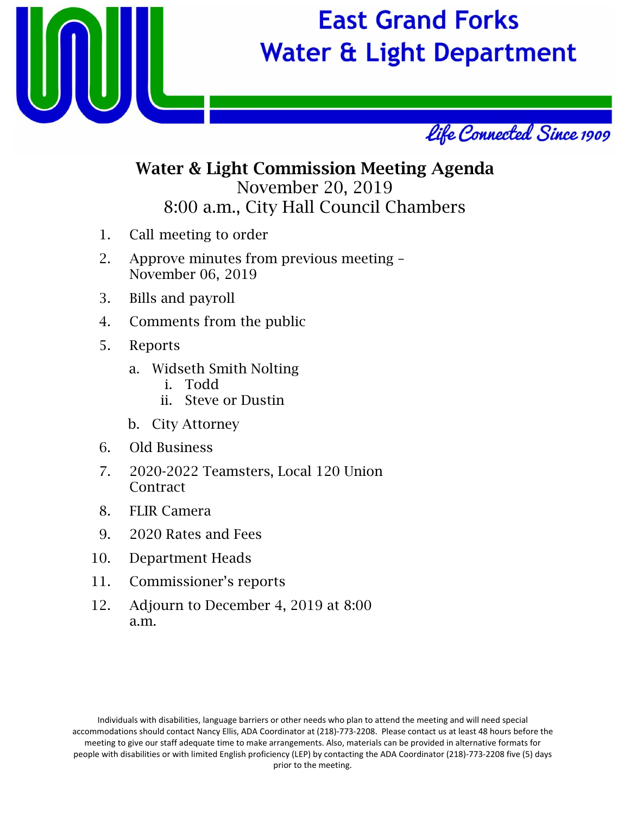

# **East Grand Forks Water & Light Department**



## Water & Light Commission Meeting Agenda November 20, 2019 8:00 a.m., City Hall Council Chambers

- 1. Call meeting to order
- 2. Approve minutes from previous meeting November 06, 2019
- 3. Bills and payroll
- 4. Comments from the public
- 5. Reports
	- a. Widseth Smith Nolting
		- i. Todd
		- ii. Steve or Dustin
	- b. City Attorney
- 6. Old Business
- 7. 2020-2022 Teamsters, Local 120 Union Contract
- 8. FLIR Camera
- 9. 2020 Rates and Fees
- 10. Department Heads
- 11. Commissioner's reports
- 12. Adjourn to December 4, 2019 at 8:00 a.m.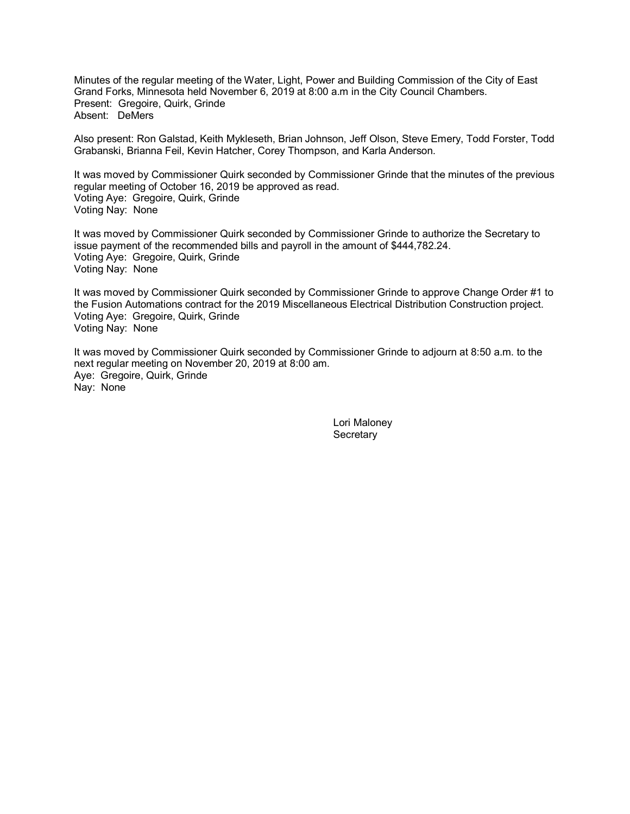Minutes of the regular meeting of the Water, Light, Power and Building Commission of the City of East Grand Forks, Minnesota held November 6, 2019 at 8:00 a.m in the City Council Chambers. Present: Gregoire, Quirk, Grinde Absent: DeMers

Also present: Ron Galstad, Keith Mykleseth, Brian Johnson, Jeff Olson, Steve Emery, Todd Forster, Todd Grabanski, Brianna Feil, Kevin Hatcher, Corey Thompson, and Karla Anderson.

It was moved by Commissioner Quirk seconded by Commissioner Grinde that the minutes of the previous regular meeting of October 16, 2019 be approved as read. Voting Aye: Gregoire, Quirk, Grinde Voting Nay: None

It was moved by Commissioner Quirk seconded by Commissioner Grinde to authorize the Secretary to issue payment of the recommended bills and payroll in the amount of \$444,782.24. Voting Aye: Gregoire, Quirk, Grinde Voting Nay: None

It was moved by Commissioner Quirk seconded by Commissioner Grinde to approve Change Order #1 to the Fusion Automations contract for the 2019 Miscellaneous Electrical Distribution Construction project. Voting Aye: Gregoire, Quirk, Grinde Voting Nay: None

It was moved by Commissioner Quirk seconded by Commissioner Grinde to adjourn at 8:50 a.m. to the next regular meeting on November 20, 2019 at 8:00 am. Aye: Gregoire, Quirk, Grinde Nay: None

> Lori Maloney **Secretary**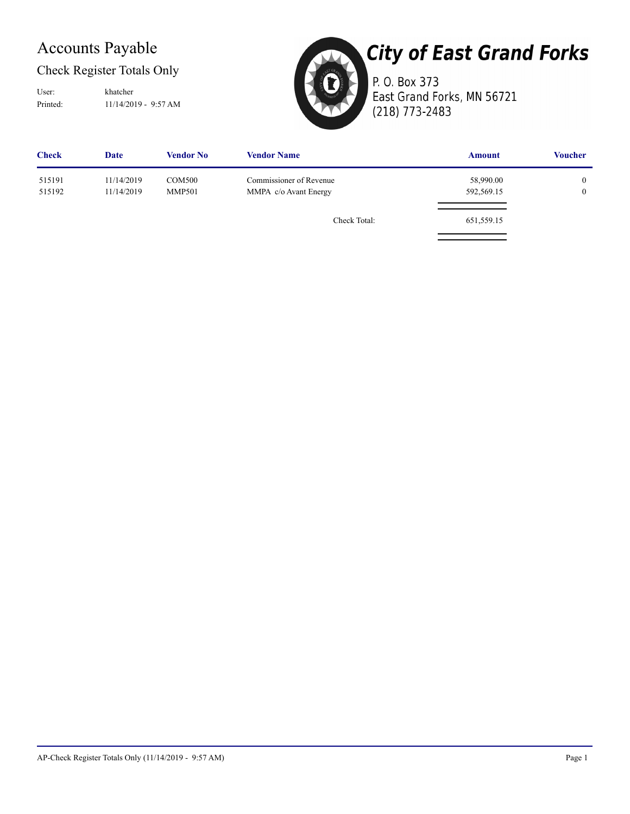## Accounts Payable

## Check Register Totals Only

Printed: 11/14/2019 - 9:57 AM User: khatcher



# **City of East Grand Forks**

P. O. Box 373 East Grand Forks, MN 56721 (218) 773-2483

| <b>Date</b>              | <b>Vendor No</b> | <b>Vendor Name</b>             | <b>Amount</b>         | <b>Voucher</b>                       |
|--------------------------|------------------|--------------------------------|-----------------------|--------------------------------------|
| 11/14/2019<br>11/14/2019 |                  | Commissioner of Revenue        | 58,990.00             | $\boldsymbol{0}$<br>$\boldsymbol{0}$ |
|                          |                  | Check Total:                   | 651,559.15            |                                      |
|                          |                  | <b>COM500</b><br><b>MMP501</b> | MMPA c/o Avant Energy | 592,569.15                           |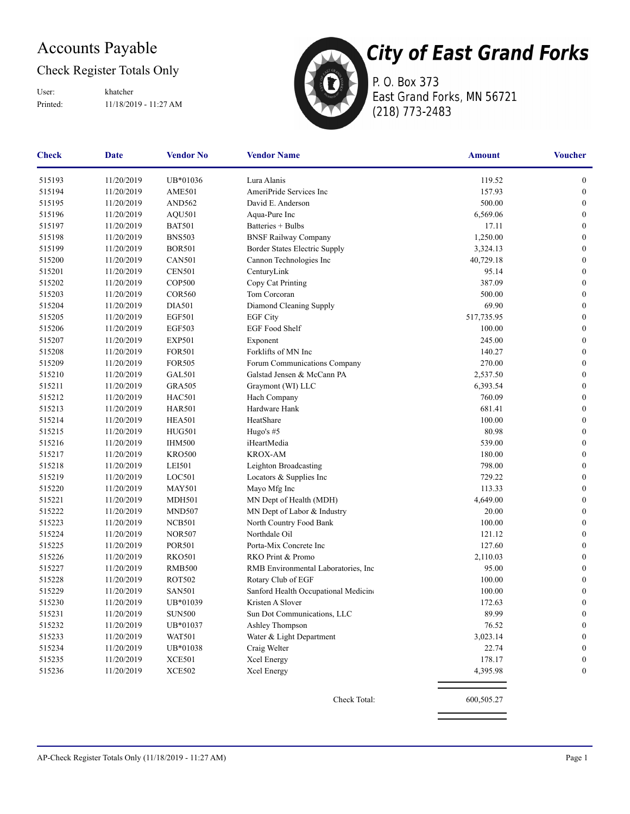## Accounts Payable

## Check Register Totals Only

Printed: 11/18/2019 - 11:27 AM User: khatcher



P. O. Box 373 East Grand Forks, MN 56721 (218) 773-2483

| <b>Check</b> | <b>Date</b> | <b>Vendor No</b>   | <b>Vendor Name</b>                   | <b>Amount</b> | <b>Voucher</b>   |
|--------------|-------------|--------------------|--------------------------------------|---------------|------------------|
| 515193       | 11/20/2019  | UB*01036           | Lura Alanis                          | 119.52        | $\boldsymbol{0}$ |
| 515194       | 11/20/2019  | AME501             | AmeriPride Services Inc              | 157.93        | $\boldsymbol{0}$ |
| 515195       | 11/20/2019  | AND <sub>562</sub> | David E. Anderson                    | 500.00        | $\boldsymbol{0}$ |
| 515196       | 11/20/2019  | <b>AQU501</b>      | Aqua-Pure Inc                        | 6,569.06      | $\boldsymbol{0}$ |
| 515197       | 11/20/2019  | <b>BAT501</b>      | Batteries + Bulbs                    | 17.11         | $\mathbf{0}$     |
| 515198       | 11/20/2019  | <b>BNS503</b>      | <b>BNSF Railway Company</b>          | 1,250.00      | $\boldsymbol{0}$ |
| 515199       | 11/20/2019  | <b>BOR501</b>      | Border States Electric Supply        | 3,324.13      | $\boldsymbol{0}$ |
| 515200       | 11/20/2019  | <b>CAN501</b>      | Cannon Technologies Inc              | 40,729.18     | $\boldsymbol{0}$ |
| 515201       | 11/20/2019  | <b>CEN501</b>      | CenturyLink                          | 95.14         | $\boldsymbol{0}$ |
| 515202       | 11/20/2019  | <b>COP500</b>      | Copy Cat Printing                    | 387.09        | $\boldsymbol{0}$ |
| 515203       | 11/20/2019  | <b>COR560</b>      | Tom Corcoran                         | 500.00        | $\boldsymbol{0}$ |
| 515204       | 11/20/2019  | <b>DIA501</b>      | Diamond Cleaning Supply              | 69.90         | $\mathbf{0}$     |
| 515205       | 11/20/2019  | <b>EGF501</b>      | <b>EGF City</b>                      | 517,735.95    | $\boldsymbol{0}$ |
| 515206       | 11/20/2019  | <b>EGF503</b>      | EGF Food Shelf                       | 100.00        | $\boldsymbol{0}$ |
| 515207       | 11/20/2019  | <b>EXP501</b>      | Exponent                             | 245.00        | $\boldsymbol{0}$ |
| 515208       | 11/20/2019  | <b>FOR501</b>      | Forklifts of MN Inc                  | 140.27        | $\boldsymbol{0}$ |
| 515209       | 11/20/2019  | <b>FOR505</b>      | Forum Communications Company         | 270.00        | $\mathbf{0}$     |
| 515210       | 11/20/2019  | GAL501             | Galstad Jensen & McCann PA           | 2,537.50      | $\boldsymbol{0}$ |
| 515211       | 11/20/2019  | <b>GRA505</b>      | Graymont (WI) LLC                    | 6,393.54      | $\mathbf{0}$     |
| 515212       | 11/20/2019  | <b>HAC501</b>      | Hach Company                         | 760.09        | $\boldsymbol{0}$ |
| 515213       | 11/20/2019  | <b>HAR501</b>      | Hardware Hank                        | 681.41        | $\boldsymbol{0}$ |
| 515214       | 11/20/2019  | <b>HEA501</b>      | HeatShare                            | 100.00        | $\boldsymbol{0}$ |
| 515215       | 11/20/2019  | <b>HUG501</b>      | Hugo's #5                            | 80.98         | $\boldsymbol{0}$ |
| 515216       | 11/20/2019  | <b>IHM500</b>      | iHeartMedia                          | 539.00        | $\mathbf{0}$     |
| 515217       | 11/20/2019  | <b>KRO500</b>      | <b>KROX-AM</b>                       | 180.00        | $\mathbf{0}$     |
| 515218       | 11/20/2019  | LEI501             | Leighton Broadcasting                | 798.00        | $\boldsymbol{0}$ |
| 515219       | 11/20/2019  | LOC501             | Locators & Supplies Inc              | 729.22        | $\boldsymbol{0}$ |
| 515220       | 11/20/2019  | <b>MAY501</b>      | Mayo Mfg Inc                         | 113.33        | $\boldsymbol{0}$ |
| 515221       | 11/20/2019  | <b>MDH501</b>      | MN Dept of Health (MDH)              | 4,649.00      | $\boldsymbol{0}$ |
| 515222       | 11/20/2019  | <b>MND507</b>      | MN Dept of Labor & Industry          | 20.00         | $\boldsymbol{0}$ |
| 515223       | 11/20/2019  | NCB501             | North Country Food Bank              | 100.00        | $\boldsymbol{0}$ |
| 515224       | 11/20/2019  | <b>NOR507</b>      | Northdale Oil                        | 121.12        | $\mathbf{0}$     |
| 515225       | 11/20/2019  | <b>POR501</b>      | Porta-Mix Concrete Inc               | 127.60        | $\boldsymbol{0}$ |
| 515226       | 11/20/2019  | <b>RKO501</b>      | RKO Print & Promo                    | 2,110.03      | $\boldsymbol{0}$ |
| 515227       | 11/20/2019  | <b>RMB500</b>      | RMB Environmental Laboratories, Inc. | 95.00         | $\boldsymbol{0}$ |
| 515228       | 11/20/2019  | ROT502             | Rotary Club of EGF                   | 100.00        | $\boldsymbol{0}$ |
| 515229       | 11/20/2019  | <b>SAN501</b>      | Sanford Health Occupational Medicine | 100.00        | $\boldsymbol{0}$ |
| 515230       | 11/20/2019  | UB*01039           | Kristen A Slover                     | 172.63        | $\boldsymbol{0}$ |
| 515231       | 11/20/2019  | <b>SUN500</b>      | Sun Dot Communications, LLC          | 89.99         | $\boldsymbol{0}$ |
| 515232       | 11/20/2019  | UB*01037           | Ashley Thompson                      | 76.52         | $\boldsymbol{0}$ |
| 515233       | 11/20/2019  | <b>WAT501</b>      | Water & Light Department             | 3,023.14      | $\boldsymbol{0}$ |
| 515234       | 11/20/2019  | UB*01038           | Craig Welter                         | 22.74         | $\boldsymbol{0}$ |
| 515235       | 11/20/2019  | <b>XCE501</b>      | Xcel Energy                          | 178.17        | $\boldsymbol{0}$ |
| 515236       | 11/20/2019  | <b>XCE502</b>      | Xcel Energy                          | 4,395.98      | 0                |
|              |             |                    | Check Total:                         | 600,505.27    |                  |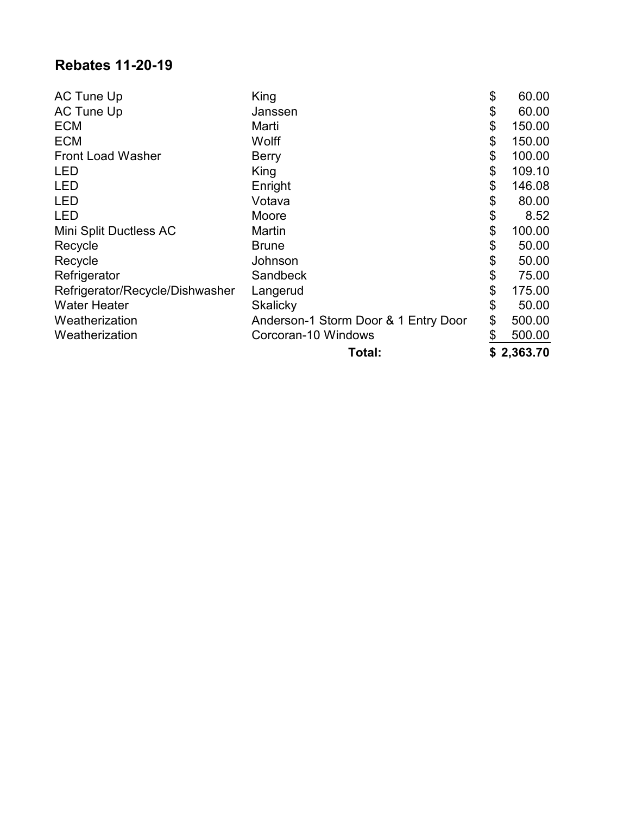## **Rebates 11-20-19**

| AC Tune Up                      | King                                 | \$<br>60.00  |
|---------------------------------|--------------------------------------|--------------|
| <b>AC Tune Up</b>               | Janssen                              | \$<br>60.00  |
| <b>ECM</b>                      | Marti                                | \$<br>150.00 |
| <b>ECM</b>                      | Wolff                                | \$<br>150.00 |
| <b>Front Load Washer</b>        | <b>Berry</b>                         | \$<br>100.00 |
| <b>LED</b>                      | King                                 | \$<br>109.10 |
| <b>LED</b>                      | Enright                              | \$<br>146.08 |
| <b>LED</b>                      | Votava                               | \$<br>80.00  |
| <b>LED</b>                      | Moore                                | \$<br>8.52   |
| Mini Split Ductless AC          | Martin                               | \$<br>100.00 |
| Recycle                         | <b>Brune</b>                         | \$<br>50.00  |
| Recycle                         | Johnson                              | \$<br>50.00  |
| Refrigerator                    | Sandbeck                             | \$<br>75.00  |
| Refrigerator/Recycle/Dishwasher | Langerud                             | \$<br>175.00 |
| <b>Water Heater</b>             | Skalicky                             | \$<br>50.00  |
| Weatherization                  | Anderson-1 Storm Door & 1 Entry Door | \$<br>500.00 |
| Weatherization                  | Corcoran-10 Windows                  | \$<br>500.00 |
|                                 | Total:                               | \$2,363.70   |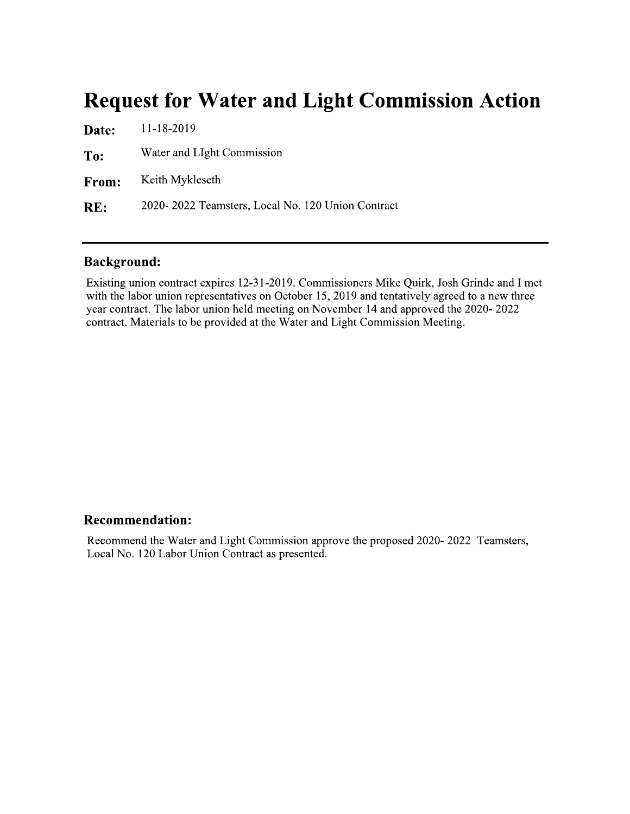# **Request for Water and Light Commission Action**

| Date:        | 11-18-2019                                        |
|--------------|---------------------------------------------------|
| To:          | Water and LIght Commission                        |
| <b>From:</b> | Keith Mykleseth                                   |
| RE:          | 2020–2022 Teamsters, Local No. 120 Union Contract |

#### **Background:**

Existing union contract expires 12-31-2019. Commissioners Mike Quirk, Josh Grinde and I met with the labor union representatives on October 15, 2019 and tentatively agreed to a new three year contract. The labor union held meeting on November 14 and approved the 2020-2022 contract. Materials to be provided at the Water and Light Commission Meeting.

#### **Recommendation:**

Recommend the Water and Light Commission approve the proposed 2020-2022 Teamsters, Local No. 120 Labor Union Contract as presented.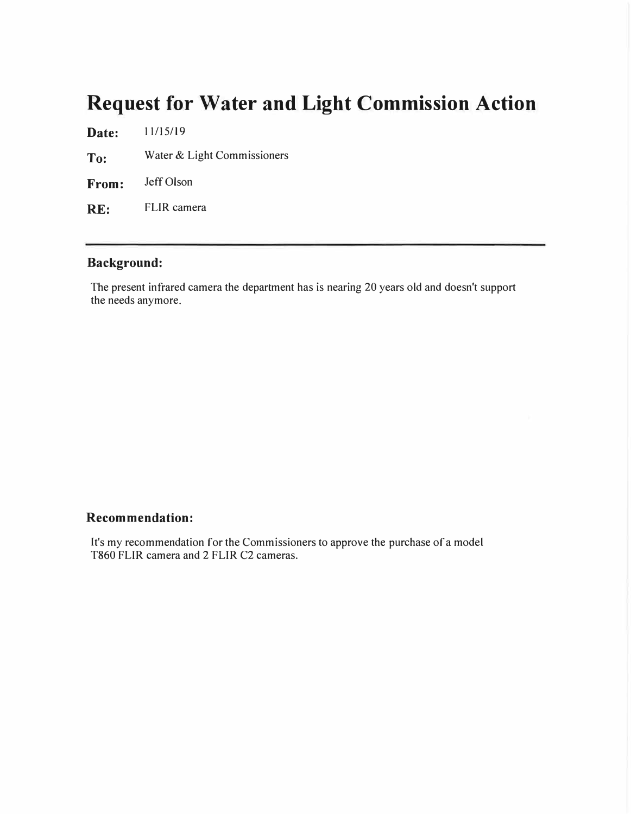# **Request for Water and Light Commission Action**

**Date:**  11/15/19

**To:**  Water & Light Commissioners

**From:**  Jeff Olson

**RE:**  FLIR camera

#### **Background:**

The present infrared camera the department has is nearing 20 years old and doesn't support the needs anymore.

#### **Recommendation:**

It's my recommendation for the Commissioners to approve the purchase of a model T860 FLIR camera and 2 FLIR C2 cameras.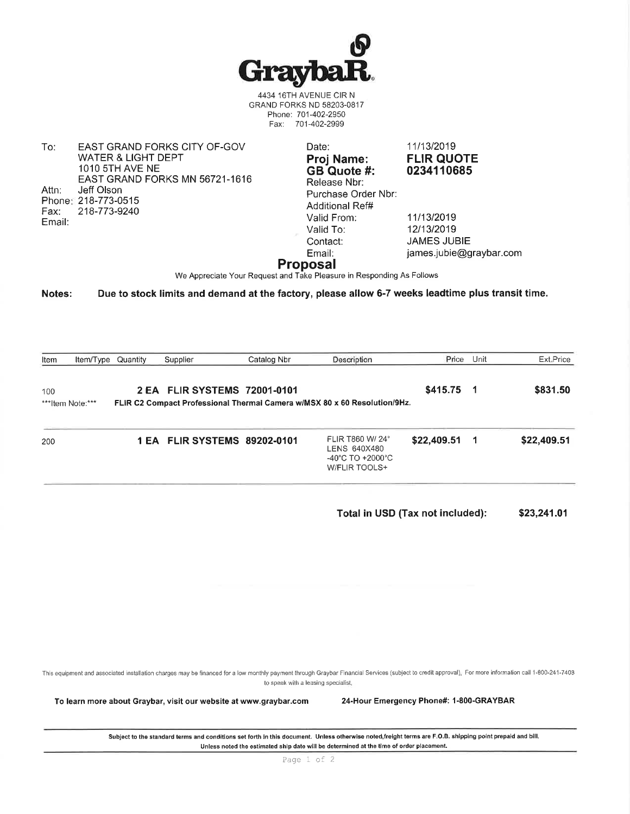

4434 16TH AVENUE CIR N GRAND FORKS ND 58203-0817 Phone: 701-402-2950 Fax: 701-402-2999

To: EAST GRAND FORKS CITY OF-GOV **WATER & LIGHT DEPT** 1010 5TH AVE NE EAST GRAND FORKS MN 56721-1616 Attn: Jeff Olson Phone: 218-773-0515 218-773-9240 Fax: Email:

Date: Proj Name: GB Quote #: Release Nbr: Purchase Order Nbr: Additional Ref# Valid From: Valid To: Contact: Email:

11/13/2019 **FLIR QUOTE** 0234110685

11/13/2019 12/13/2019 **JAMES JUBIE** james.jubie@graybar.com

#### **Proposal**

We Appreciate Your Request and Take Pleasure in Responding As Follows

Notes: Due to stock limits and demand at the factory, please allow 6-7 weeks leadtime plus transit time.

| Item | Item/Type Quantity | Supplier                     | Catalog Nbr | Description                                                               | Price Unit  | Ext.Price   |
|------|--------------------|------------------------------|-------------|---------------------------------------------------------------------------|-------------|-------------|
| 100  |                    | 2 EA FLIR SYSTEMS 72001-0101 |             |                                                                           | $$415.75$ 1 | \$831.50    |
|      | ***Item Note:***   |                              |             | FLIR C2 Compact Professional Thermal Camera w/MSX 80 x 60 Resolution/9Hz. |             |             |
| 200  |                    | 1 EA FLIR SYSTEMS 89202-0101 |             | FLIR T860 W/ 24°<br>LENS 640X480<br>$-40^{\circ}$ C TO $+2000^{\circ}$ C  | \$22,409.51 | \$22,409.51 |

Total in USD (Tax not included): \$23,241.01

This equipment and associated installation charges may be financed for a low monthly payment through Graybar Financial Services (subject to credit approval). For more information call 1-800-241-7408 to speak with a leasing specialist.

To learn more about Graybar, visit our website at www.graybar.com

24-Hour Emergency Phone#: 1-800-GRAYBAR

Subject to the standard terms and conditions set forth in this document. Unless otherwise noted,freight terms are F.O.B. shipping point prepaid and bill. Unless noted the estimated ship date will be determined at the time of order placement.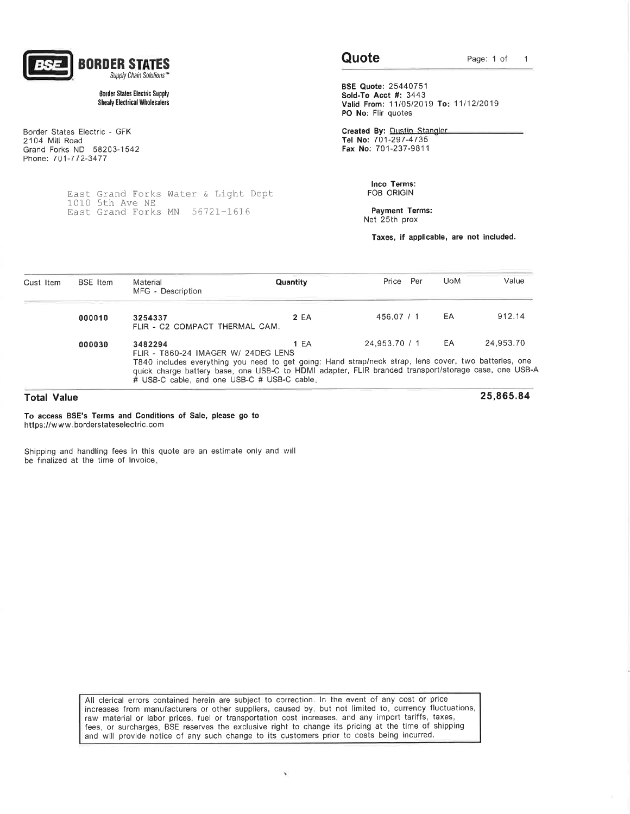

#### **Border States Electric Supply Shealy Electrical Wholesalers**

Border States Electric - GFK 2104 Mill Road Grand Forks ND 58203-1542 Phone: 701-772-3477

> East Grand Forks Water & Light Dept<br>1010 5th Ave NE East Grand Forks MN 56721-1616

#### Quote

25,865.84

**BSE Quote: 25440751** Sold-To Acct #: 3443 Valid From: 11/05/2019 To: 11/12/2019 PO No: Flir quotes

Created By: Dustin Stangler Tel No: 701-297-4735 Fax No: 701-237-9811

> Inco Terms: FOB ORIGIN

Payment Terms: Net 25th prox

Taxes, if applicable, are not included.

| Cust Item | <b>BSE</b> Item | Material<br>MFG - Description                                                                                                                                                                                                                                                                                  | <b>Quantity</b> | Price         | Per | <b>UoM</b> | Value     |
|-----------|-----------------|----------------------------------------------------------------------------------------------------------------------------------------------------------------------------------------------------------------------------------------------------------------------------------------------------------------|-----------------|---------------|-----|------------|-----------|
|           | 000010          | 3254337<br>FLIR - C2 COMPACT THERMAL CAM.                                                                                                                                                                                                                                                                      | 2 EA            | 456.07 / 1    |     | EA         | 912.14    |
|           | 000030          | 3482294<br>FLIR - T860-24 IMAGER W/ 24DEG LENS<br>T840 includes everything you need to get going: Hand strap/neck strap, lens cover, two batteries, one<br>quick charge battery base, one USB-C to HDMI adapter, FLIR branded transport/storage case, one USB-A<br># USB-C cable, and one USB-C # USB-C cable. | <b>1 EA</b>     | 24.953.70 / 1 |     | EA         | 24.953.70 |

#### **Total Value**

To access BSE's Terms and Conditions of Sale, please go to https://www.borderstateselectric.com

Shipping and handling fees in this quote are an estimate only and will be finalized at the time of Invoice.

> All clerical errors contained herein are subject to correction. In the event of any cost or price increases from manufacturers or other suppliers, caused by, but not limited to, currency fluctuations, raw material or labor prices, fuel or transportation cost increases, and any import tariffs, taxes, fees, or surcharges. BSE reserves the exclusive right to change its pricing at the time of shipping and will provide notice of any such change to its customers prior to costs being incurred.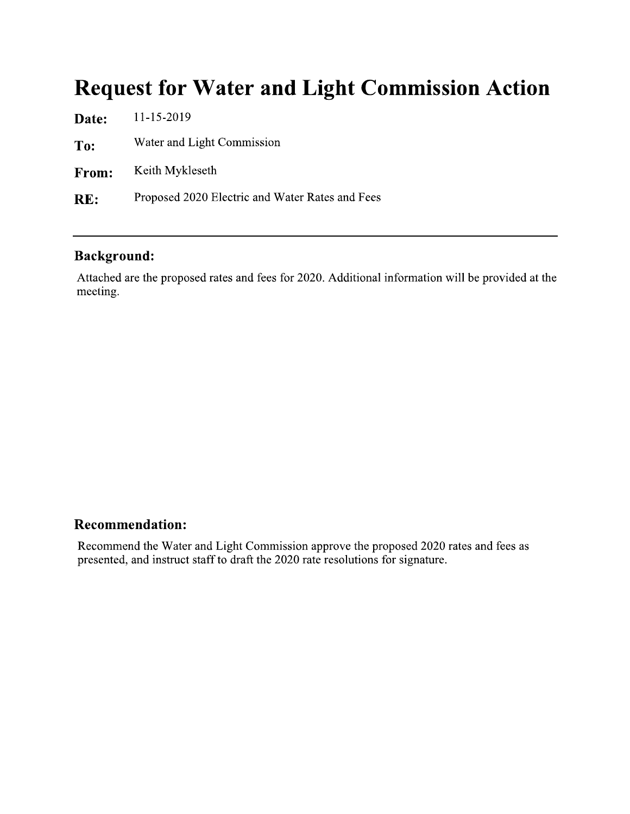# **Request for Water and Light Commission Action**

| 11-15-2019                                      |
|-------------------------------------------------|
| Water and Light Commission                      |
| Keith Mykleseth                                 |
| Proposed 2020 Electric and Water Rates and Fees |
|                                                 |

### **Background:**

Attached are the proposed rates and fees for 2020. Additional information will be provided at the meeting.

### **Recommendation:**

Recommend the Water and Light Commission approve the proposed 2020 rates and fees as presented, and instruct staff to draft the 2020 rate resolutions for signature.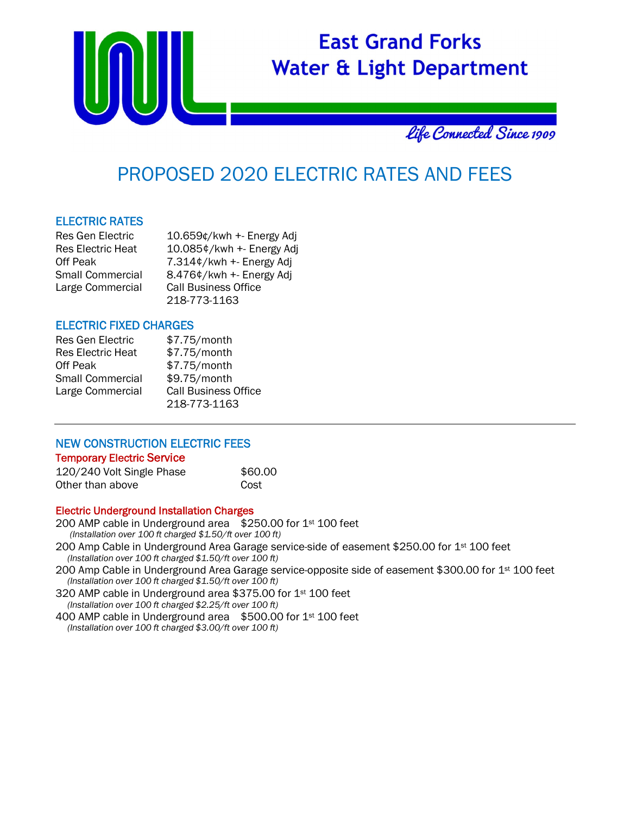

## PROPOSED 2020 ELECTRIC RATES AND FEES

#### ELECTRIC RATES

| Res Gen Electric         | 10.659¢/kwh +- Energy Adj   |
|--------------------------|-----------------------------|
| <b>Res Electric Heat</b> | 10.085¢/kwh +- Energy Adj   |
| Off Peak                 | 7.314¢/kwh +- Energy Adj    |
| Small Commercial         | 8.476¢/kwh +- Energy Adj    |
| Large Commercial         | <b>Call Business Office</b> |
|                          | 218-773-1163                |

#### ELECTRIC FIXED CHARGES

| <b>Res Gen Electric</b>  | \$7.75/month                |
|--------------------------|-----------------------------|
| <b>Res Electric Heat</b> | \$7.75/month                |
| Off Peak                 | \$7.75/month                |
| <b>Small Commercial</b>  | \$9.75/month                |
| Large Commercial         | <b>Call Business Office</b> |
|                          | 218-773-1163                |

#### NEW CONSTRUCTION ELECTRIC FEES Temporary Electric Service

| 120/240 Volt Single Phase | \$60.00 |
|---------------------------|---------|
| Other than above          | Cost    |

#### Electric Underground Installation Charges

200 AMP cable in Underground area \$250.00 for 1<sup>st</sup> 100 feet *(Installation over 100 ft charged \$1.50/ft over 100 ft)* 200 Amp Cable in Underground Area Garage service-side of easement \$250.00 for 1<sup>st</sup> 100 feet  *(Installation over 100 ft charged \$1.50/ft over 100 ft)*  200 Amp Cable in Underground Area Garage service-opposite side of easement \$300.00 for 1<sup>st</sup> 100 feet  *(Installation over 100 ft charged \$1.50/ft over 100 ft)*  320 AMP cable in Underground area \$375.00 for 1st 100 feet  *(Installation over 100 ft charged \$2.25/ft over 100 ft)*

400 AMP cable in Underground area \$500.00 for 1st 100 feet  *(Installation over 100 ft charged \$3.00/ft over 100 ft)*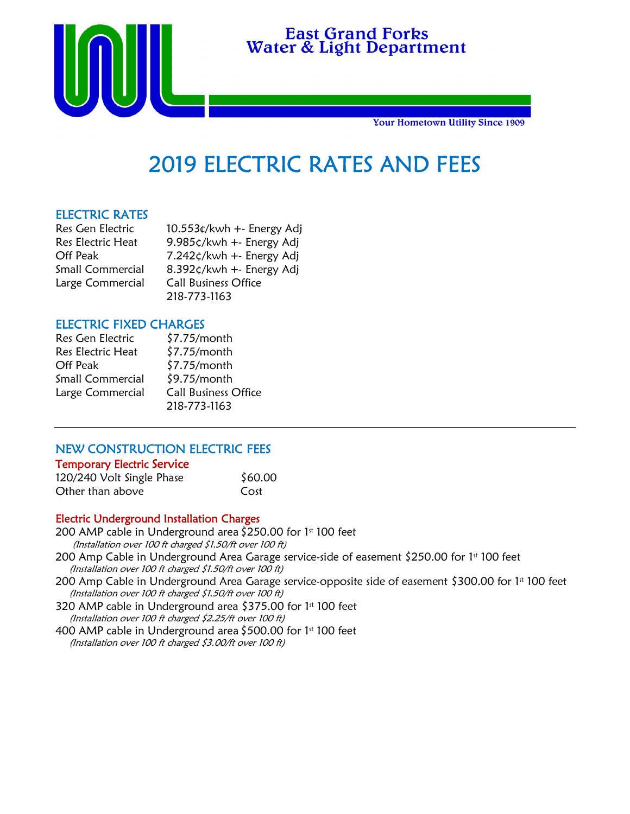

# $\mathbf{t}$ لي<br>أ

**Your Hometown Utility Since 1909** 

# 2019 ELECTRIC RATES AND FEES

 $\overline{a}$ 

#### ELECTRIC RATES

| Res Gen Electric        | 10.553¢/kwh +- Energy Adj        |
|-------------------------|----------------------------------|
| Res Electric Heat       | 9.985¢/kwh +- Energy Adj         |
| Off Peak                | $7.242 \zeta$ /kwh +- Energy Adj |
| <b>Small Commercial</b> | 8.392¢/kwh +- Energy Adj         |
| Large Commercial        | <b>Call Business Office</b>      |
|                         | 218-773-1163                     |

#### ELECTRIC FIXED CHARGES

| Res Gen Electric         | $$7.75/m$ onth              |
|--------------------------|-----------------------------|
| <b>Res Electric Heat</b> | $$7.75/m$ onth              |
| <b>Off Peak</b>          | $$7.75/m$ onth              |
| <b>Small Commercial</b>  | $$9.75/m$ onth              |
| Large Commercial         | <b>Call Business Office</b> |
|                          | 218-773-1163                |

#### NEW CONSTRUCTION ELECTRIC FEES

#### Temporary Electric Service

| 120/240 Volt Single Phase | \$60.00 |
|---------------------------|---------|
| Other than above          | Cost    |

#### Electric Underground Installation Charges

200 AMP cable in Underground area  $$250.00$  for 1st 100 feet (Installation over 100 ft charged \$1.50/ft over 100 ft) 200 Amp Cable in Underground Area Garage service-side of easement \$250.00 for 1<sup>st</sup> 100 feet

- (Installation over 100 ft charged \$1.50/ft over 100 ft)
- 200 Amp Cable in Underground Area Garage service-opposite side of easement \$300.00 for 1st 100 feet (Installation over 100 ft charged \$1.50/ft over 100 ft)

320 AMP cable in Underground area \$375.00 for 1st 100 feet (Installation over 100 ft charged \$2.25/ft over 100 ft)

400 AMP cable in Underground area \$500.00 for 1st 100 feet (Installation over 100 ft charged \$3.00/ft over 100 ft)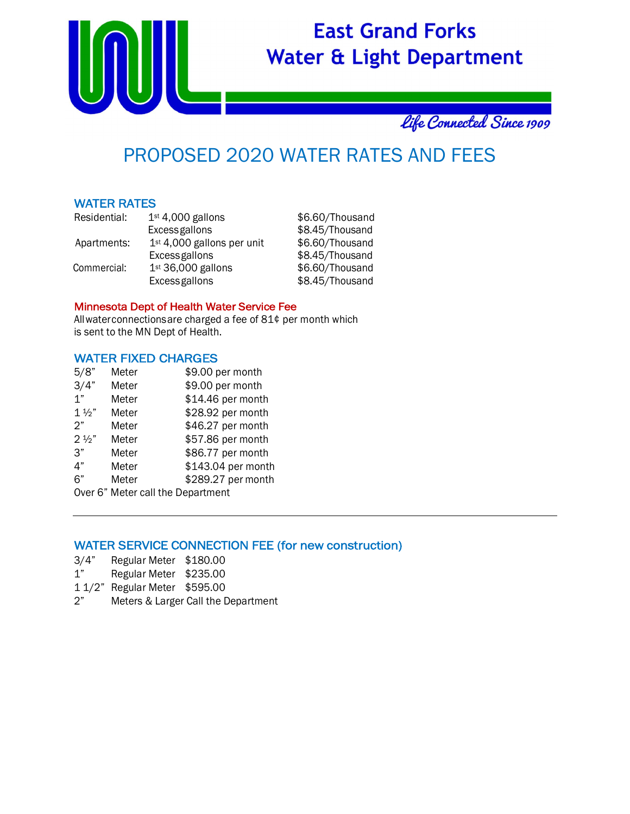

# Life Connected Since 1909

## PROPOSED 2020 WATER RATES AND FEES

#### WATER RATES

| Residential: | $1st 4,000$ gallons          | \$6.60/Thousand |
|--------------|------------------------------|-----------------|
|              | <b>Excess gallons</b>        | \$8.45/Thousand |
| Apartments:  | $1st$ 4,000 gallons per unit | \$6.60/Thousand |
|              | Excessgallons                | \$8.45/Thousand |
| Commercial:  | 1st 36,000 gallons           | \$6.60/Thousand |
|              | Excessgallons                | \$8.45/Thousand |

#### Minnesota Dept of Health Water Service Fee

All water connections are charged a fee of 81¢ per month which is sent to the MN Dept of Health.

#### WATER FIXED CHARGES

| 5/8"                              | Meter | \$9.00 per month   |  |
|-----------------------------------|-------|--------------------|--|
| 3/4"                              | Meter | \$9.00 per month   |  |
| 1"                                | Meter | \$14.46 per month  |  |
| $1\frac{1}{2}$                    | Meter | \$28.92 per month  |  |
| 2"                                | Meter | \$46.27 per month  |  |
| $2\frac{1}{2}$                    | Meter | \$57.86 per month  |  |
| 3"                                | Meter | \$86.77 per month  |  |
| 4"                                | Meter | \$143.04 per month |  |
| 6"                                | Meter | \$289.27 per month |  |
| Over 6" Meter call the Department |       |                    |  |

#### WATER SERVICE CONNECTION FEE (for new construction)

- 3/4" Regular Meter \$180.00
- 1" Regular Meter \$235.00
- 1 1/2" Regular Meter \$595.00
- 2" Meters & Larger Call the Department